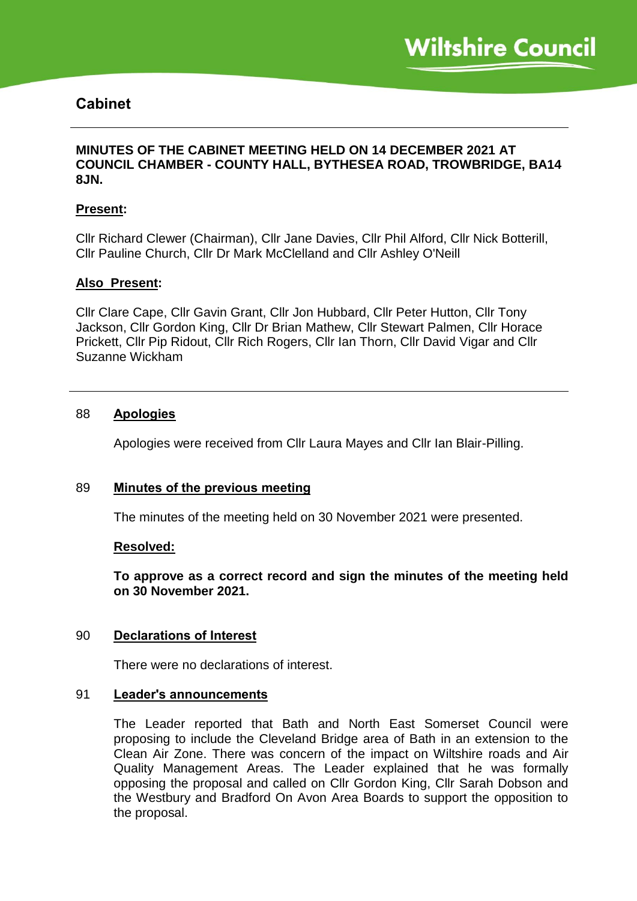# **Cabinet**

# **MINUTES OF THE CABINET MEETING HELD ON 14 DECEMBER 2021 AT COUNCIL CHAMBER - COUNTY HALL, BYTHESEA ROAD, TROWBRIDGE, BA14 8JN.**

### **Present:**

Cllr Richard Clewer (Chairman), Cllr Jane Davies, Cllr Phil Alford, Cllr Nick Botterill, Cllr Pauline Church, Cllr Dr Mark McClelland and Cllr Ashley O'Neill

#### **Also Present:**

Cllr Clare Cape, Cllr Gavin Grant, Cllr Jon Hubbard, Cllr Peter Hutton, Cllr Tony Jackson, Cllr Gordon King, Cllr Dr Brian Mathew, Cllr Stewart Palmen, Cllr Horace Prickett, Cllr Pip Ridout, Cllr Rich Rogers, Cllr Ian Thorn, Cllr David Vigar and Cllr Suzanne Wickham

#### 88 **Apologies**

Apologies were received from Cllr Laura Mayes and Cllr Ian Blair-Pilling.

#### 89 **Minutes of the previous meeting**

The minutes of the meeting held on 30 November 2021 were presented.

#### **Resolved:**

**To approve as a correct record and sign the minutes of the meeting held on 30 November 2021.**

#### 90 **Declarations of Interest**

There were no declarations of interest.

#### 91 **Leader's announcements**

The Leader reported that Bath and North East Somerset Council were proposing to include the Cleveland Bridge area of Bath in an extension to the Clean Air Zone. There was concern of the impact on Wiltshire roads and Air Quality Management Areas. The Leader explained that he was formally opposing the proposal and called on Cllr Gordon King, Cllr Sarah Dobson and the Westbury and Bradford On Avon Area Boards to support the opposition to the proposal.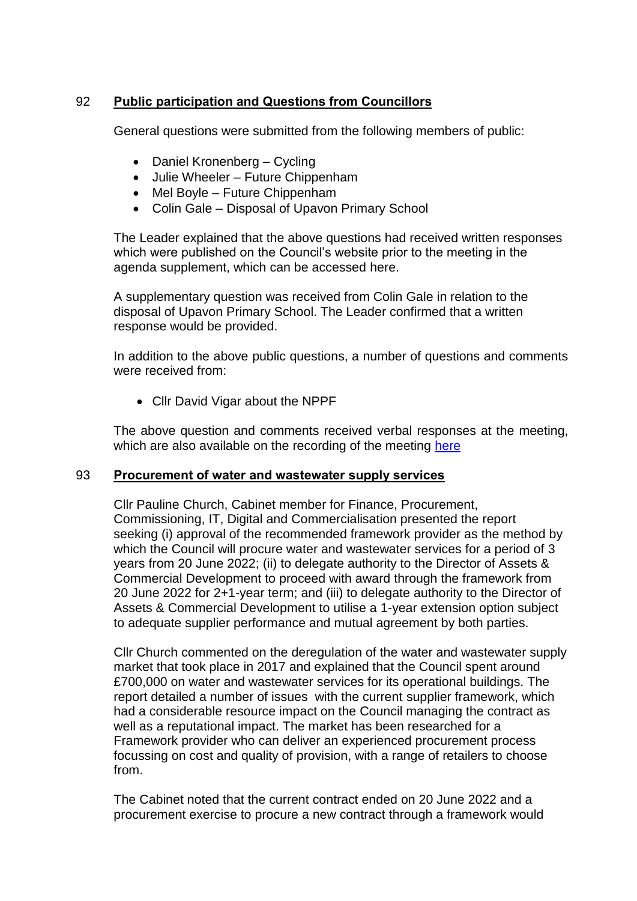# 92 **Public participation and Questions from Councillors**

General questions were submitted from the following members of public:

- Daniel Kronenberg Cycling
- Julie Wheeler Future Chippenham
- Mel Boyle Future Chippenham
- Colin Gale Disposal of Upavon Primary School

The Leader explained that the above questions had received written responses which were published on the Council's website prior to the meeting in the agenda supplement, which can be accessed here.

A supplementary question was received from Colin Gale in relation to the disposal of Upavon Primary School. The Leader confirmed that a written response would be provided.

In addition to the above public questions, a number of questions and comments were received from:

Cllr David Vigar about the NPPF

The above question and comments received verbal responses at the meeting, which are also available on the recording of the meeting [here](https://cms.wiltshire.gov.uk/ieListDocuments.aspx?CId=141&MId=13774&Ver=4)

# 93 **Procurement of water and wastewater supply services**

Cllr Pauline Church, Cabinet member for Finance, Procurement, Commissioning, IT, Digital and Commercialisation presented the report seeking (i) approval of the recommended framework provider as the method by which the Council will procure water and wastewater services for a period of 3 years from 20 June 2022; (ii) to delegate authority to the Director of Assets & Commercial Development to proceed with award through the framework from 20 June 2022 for 2+1-year term; and (iii) to delegate authority to the Director of Assets & Commercial Development to utilise a 1-year extension option subject to adequate supplier performance and mutual agreement by both parties.

Cllr Church commented on the deregulation of the water and wastewater supply market that took place in 2017 and explained that the Council spent around £700,000 on water and wastewater services for its operational buildings. The report detailed a number of issues with the current supplier framework, which had a considerable resource impact on the Council managing the contract as well as a reputational impact. The market has been researched for a Framework provider who can deliver an experienced procurement process focussing on cost and quality of provision, with a range of retailers to choose from.

The Cabinet noted that the current contract ended on 20 June 2022 and a procurement exercise to procure a new contract through a framework would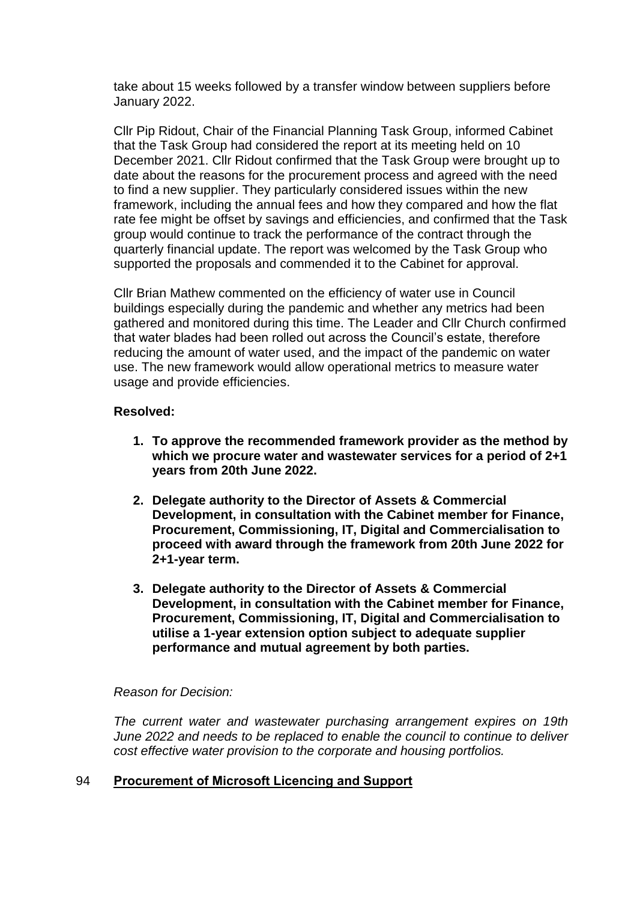take about 15 weeks followed by a transfer window between suppliers before January 2022.

Cllr Pip Ridout, Chair of the Financial Planning Task Group, informed Cabinet that the Task Group had considered the report at its meeting held on 10 December 2021. Cllr Ridout confirmed that the Task Group were brought up to date about the reasons for the procurement process and agreed with the need to find a new supplier. They particularly considered issues within the new framework, including the annual fees and how they compared and how the flat rate fee might be offset by savings and efficiencies, and confirmed that the Task group would continue to track the performance of the contract through the quarterly financial update. The report was welcomed by the Task Group who supported the proposals and commended it to the Cabinet for approval.

Cllr Brian Mathew commented on the efficiency of water use in Council buildings especially during the pandemic and whether any metrics had been gathered and monitored during this time. The Leader and Cllr Church confirmed that water blades had been rolled out across the Council's estate, therefore reducing the amount of water used, and the impact of the pandemic on water use. The new framework would allow operational metrics to measure water usage and provide efficiencies.

# **Resolved:**

- **1. To approve the recommended framework provider as the method by which we procure water and wastewater services for a period of 2+1 years from 20th June 2022.**
- **2. Delegate authority to the Director of Assets & Commercial Development, in consultation with the Cabinet member for Finance, Procurement, Commissioning, IT, Digital and Commercialisation to proceed with award through the framework from 20th June 2022 for 2+1-year term.**
- **3. Delegate authority to the Director of Assets & Commercial Development, in consultation with the Cabinet member for Finance, Procurement, Commissioning, IT, Digital and Commercialisation to utilise a 1-year extension option subject to adequate supplier performance and mutual agreement by both parties.**

#### *Reason for Decision:*

*The current water and wastewater purchasing arrangement expires on 19th June 2022 and needs to be replaced to enable the council to continue to deliver cost effective water provision to the corporate and housing portfolios.*

#### 94 **Procurement of Microsoft Licencing and Support**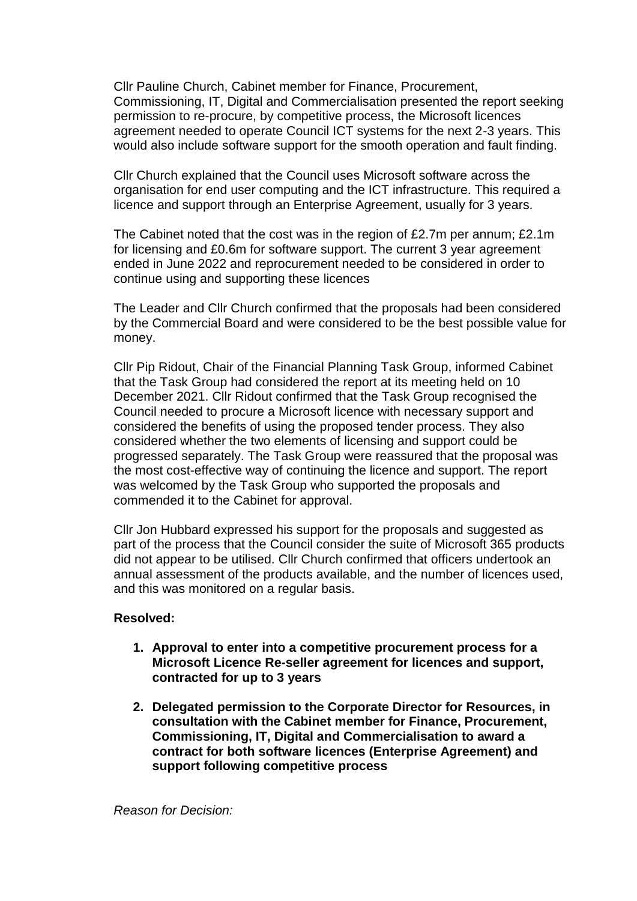Cllr Pauline Church, Cabinet member for Finance, Procurement, Commissioning, IT, Digital and Commercialisation presented the report seeking permission to re-procure, by competitive process, the Microsoft licences agreement needed to operate Council ICT systems for the next 2-3 years. This would also include software support for the smooth operation and fault finding.

Cllr Church explained that the Council uses Microsoft software across the organisation for end user computing and the ICT infrastructure. This required a licence and support through an Enterprise Agreement, usually for 3 years.

The Cabinet noted that the cost was in the region of £2.7m per annum; £2.1m for licensing and £0.6m for software support. The current 3 year agreement ended in June 2022 and reprocurement needed to be considered in order to continue using and supporting these licences

The Leader and Cllr Church confirmed that the proposals had been considered by the Commercial Board and were considered to be the best possible value for money.

Cllr Pip Ridout, Chair of the Financial Planning Task Group, informed Cabinet that the Task Group had considered the report at its meeting held on 10 December 2021. Cllr Ridout confirmed that the Task Group recognised the Council needed to procure a Microsoft licence with necessary support and considered the benefits of using the proposed tender process. They also considered whether the two elements of licensing and support could be progressed separately. The Task Group were reassured that the proposal was the most cost-effective way of continuing the licence and support. The report was welcomed by the Task Group who supported the proposals and commended it to the Cabinet for approval.

Cllr Jon Hubbard expressed his support for the proposals and suggested as part of the process that the Council consider the suite of Microsoft 365 products did not appear to be utilised. Cllr Church confirmed that officers undertook an annual assessment of the products available, and the number of licences used, and this was monitored on a regular basis.

- **1. Approval to enter into a competitive procurement process for a Microsoft Licence Re-seller agreement for licences and support, contracted for up to 3 years**
- **2. Delegated permission to the Corporate Director for Resources, in consultation with the Cabinet member for Finance, Procurement, Commissioning, IT, Digital and Commercialisation to award a contract for both software licences (Enterprise Agreement) and support following competitive process**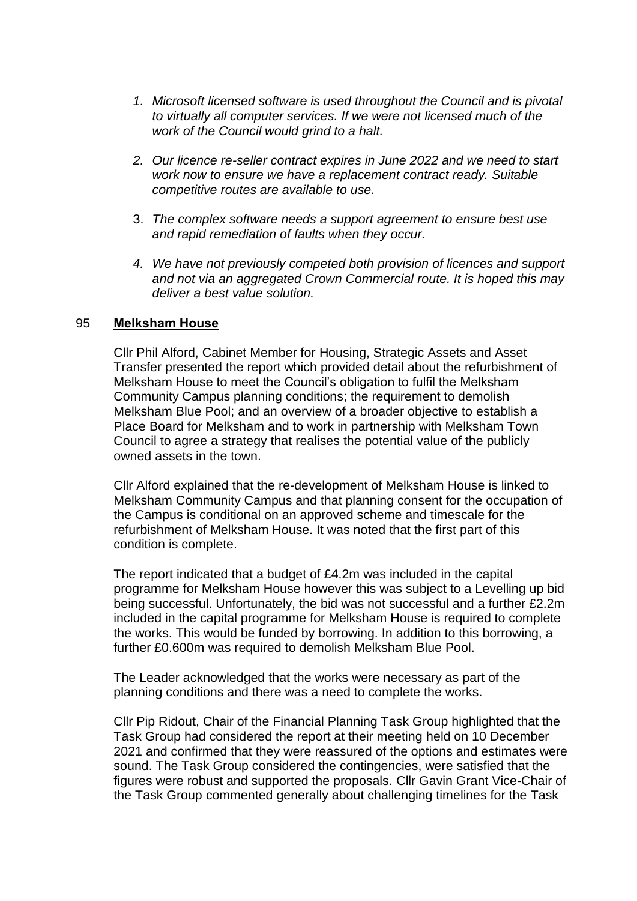- *1. Microsoft licensed software is used throughout the Council and is pivotal to virtually all computer services. If we were not licensed much of the work of the Council would grind to a halt.*
- *2. Our licence re-seller contract expires in June 2022 and we need to start work now to ensure we have a replacement contract ready. Suitable competitive routes are available to use.*
- 3. *The complex software needs a support agreement to ensure best use and rapid remediation of faults when they occur.*
- *4. We have not previously competed both provision of licences and support and not via an aggregated Crown Commercial route. It is hoped this may deliver a best value solution.*

# 95 **Melksham House**

Cllr Phil Alford, Cabinet Member for Housing, Strategic Assets and Asset Transfer presented the report which provided detail about the refurbishment of Melksham House to meet the Council's obligation to fulfil the Melksham Community Campus planning conditions; the requirement to demolish Melksham Blue Pool; and an overview of a broader objective to establish a Place Board for Melksham and to work in partnership with Melksham Town Council to agree a strategy that realises the potential value of the publicly owned assets in the town.

Cllr Alford explained that the re-development of Melksham House is linked to Melksham Community Campus and that planning consent for the occupation of the Campus is conditional on an approved scheme and timescale for the refurbishment of Melksham House. It was noted that the first part of this condition is complete.

The report indicated that a budget of £4.2m was included in the capital programme for Melksham House however this was subject to a Levelling up bid being successful. Unfortunately, the bid was not successful and a further £2.2m included in the capital programme for Melksham House is required to complete the works. This would be funded by borrowing. In addition to this borrowing, a further £0.600m was required to demolish Melksham Blue Pool.

The Leader acknowledged that the works were necessary as part of the planning conditions and there was a need to complete the works.

Cllr Pip Ridout, Chair of the Financial Planning Task Group highlighted that the Task Group had considered the report at their meeting held on 10 December 2021 and confirmed that they were reassured of the options and estimates were sound. The Task Group considered the contingencies, were satisfied that the figures were robust and supported the proposals. Cllr Gavin Grant Vice-Chair of the Task Group commented generally about challenging timelines for the Task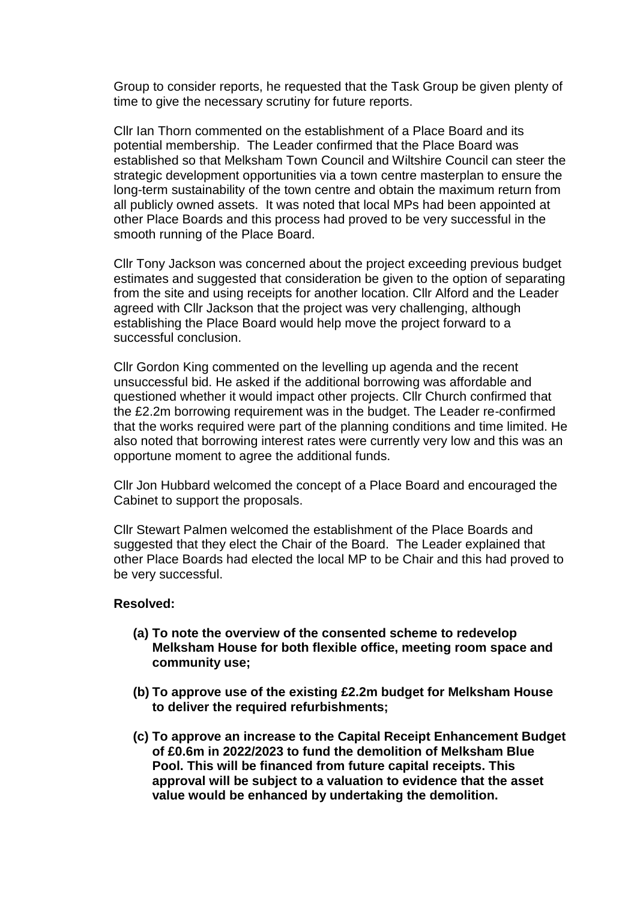Group to consider reports, he requested that the Task Group be given plenty of time to give the necessary scrutiny for future reports.

Cllr Ian Thorn commented on the establishment of a Place Board and its potential membership. The Leader confirmed that the Place Board was established so that Melksham Town Council and Wiltshire Council can steer the strategic development opportunities via a town centre masterplan to ensure the long-term sustainability of the town centre and obtain the maximum return from all publicly owned assets. It was noted that local MPs had been appointed at other Place Boards and this process had proved to be very successful in the smooth running of the Place Board.

Cllr Tony Jackson was concerned about the project exceeding previous budget estimates and suggested that consideration be given to the option of separating from the site and using receipts for another location. Cllr Alford and the Leader agreed with Cllr Jackson that the project was very challenging, although establishing the Place Board would help move the project forward to a successful conclusion.

Cllr Gordon King commented on the levelling up agenda and the recent unsuccessful bid. He asked if the additional borrowing was affordable and questioned whether it would impact other projects. Cllr Church confirmed that the £2.2m borrowing requirement was in the budget. The Leader re-confirmed that the works required were part of the planning conditions and time limited. He also noted that borrowing interest rates were currently very low and this was an opportune moment to agree the additional funds.

Cllr Jon Hubbard welcomed the concept of a Place Board and encouraged the Cabinet to support the proposals.

Cllr Stewart Palmen welcomed the establishment of the Place Boards and suggested that they elect the Chair of the Board. The Leader explained that other Place Boards had elected the local MP to be Chair and this had proved to be very successful.

- **(a) To note the overview of the consented scheme to redevelop Melksham House for both flexible office, meeting room space and community use;**
- **(b) To approve use of the existing £2.2m budget for Melksham House to deliver the required refurbishments;**
- **(c) To approve an increase to the Capital Receipt Enhancement Budget of £0.6m in 2022/2023 to fund the demolition of Melksham Blue Pool. This will be financed from future capital receipts. This approval will be subject to a valuation to evidence that the asset value would be enhanced by undertaking the demolition.**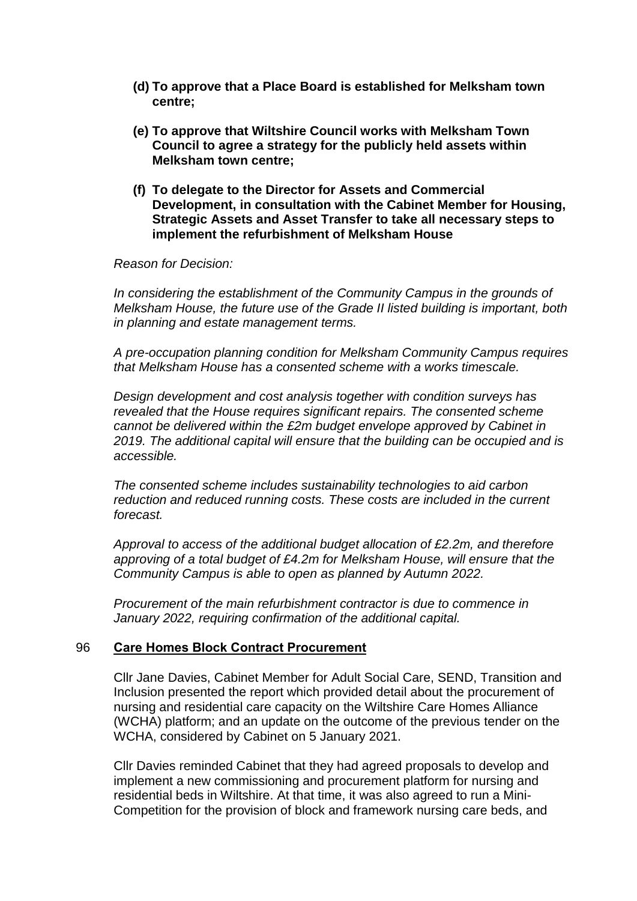- **(d) To approve that a Place Board is established for Melksham town centre;**
- **(e) To approve that Wiltshire Council works with Melksham Town Council to agree a strategy for the publicly held assets within Melksham town centre;**
- **(f) To delegate to the Director for Assets and Commercial Development, in consultation with the Cabinet Member for Housing, Strategic Assets and Asset Transfer to take all necessary steps to implement the refurbishment of Melksham House**

*Reason for Decision:*

*In considering the establishment of the Community Campus in the grounds of Melksham House, the future use of the Grade II listed building is important, both in planning and estate management terms.*

*A pre-occupation planning condition for Melksham Community Campus requires that Melksham House has a consented scheme with a works timescale.*

*Design development and cost analysis together with condition surveys has revealed that the House requires significant repairs. The consented scheme cannot be delivered within the £2m budget envelope approved by Cabinet in 2019. The additional capital will ensure that the building can be occupied and is accessible.*

*The consented scheme includes sustainability technologies to aid carbon reduction and reduced running costs. These costs are included in the current forecast.*

*Approval to access of the additional budget allocation of £2.2m, and therefore approving of a total budget of £4.2m for Melksham House, will ensure that the Community Campus is able to open as planned by Autumn 2022.* 

*Procurement of the main refurbishment contractor is due to commence in January 2022, requiring confirmation of the additional capital.*

#### 96 **Care Homes Block Contract Procurement**

Cllr Jane Davies, Cabinet Member for Adult Social Care, SEND, Transition and Inclusion presented the report which provided detail about the procurement of nursing and residential care capacity on the Wiltshire Care Homes Alliance (WCHA) platform; and an update on the outcome of the previous tender on the WCHA, considered by Cabinet on 5 January 2021.

Cllr Davies reminded Cabinet that they had agreed proposals to develop and implement a new commissioning and procurement platform for nursing and residential beds in Wiltshire. At that time, it was also agreed to run a Mini-Competition for the provision of block and framework nursing care beds, and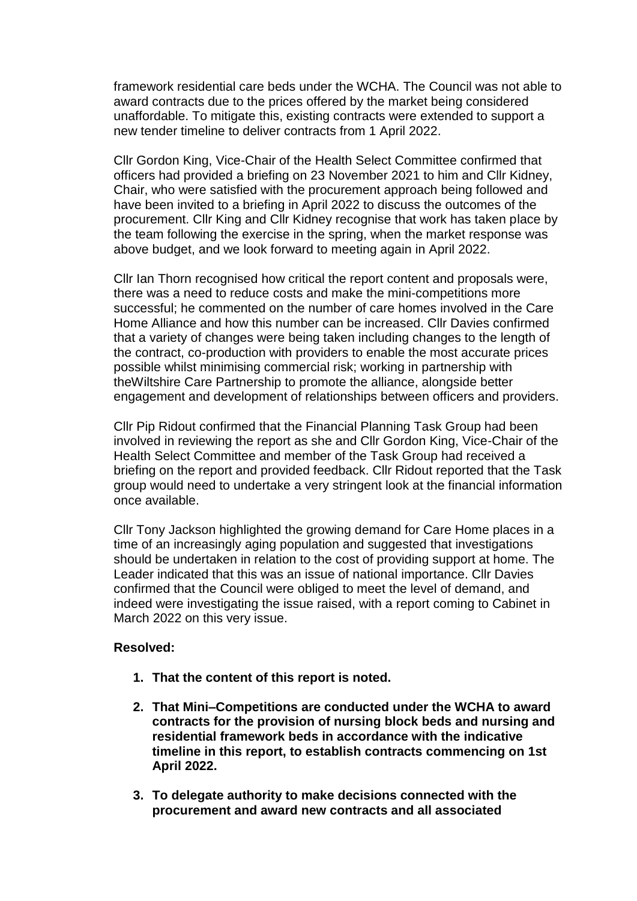framework residential care beds under the WCHA. The Council was not able to award contracts due to the prices offered by the market being considered unaffordable. To mitigate this, existing contracts were extended to support a new tender timeline to deliver contracts from 1 April 2022.

Cllr Gordon King, Vice-Chair of the Health Select Committee confirmed that officers had provided a briefing on 23 November 2021 to him and Cllr Kidney, Chair, who were satisfied with the procurement approach being followed and have been invited to a briefing in April 2022 to discuss the outcomes of the procurement. Cllr King and Cllr Kidney recognise that work has taken place by the team following the exercise in the spring, when the market response was above budget, and we look forward to meeting again in April 2022.

Cllr Ian Thorn recognised how critical the report content and proposals were, there was a need to reduce costs and make the mini-competitions more successful; he commented on the number of care homes involved in the Care Home Alliance and how this number can be increased. Cllr Davies confirmed that a variety of changes were being taken including changes to the length of the contract, co-production with providers to enable the most accurate prices possible whilst minimising commercial risk; working in partnership with theWiltshire Care Partnership to promote the alliance, alongside better engagement and development of relationships between officers and providers.

Cllr Pip Ridout confirmed that the Financial Planning Task Group had been involved in reviewing the report as she and Cllr Gordon King, Vice-Chair of the Health Select Committee and member of the Task Group had received a briefing on the report and provided feedback. Cllr Ridout reported that the Task group would need to undertake a very stringent look at the financial information once available.

Cllr Tony Jackson highlighted the growing demand for Care Home places in a time of an increasingly aging population and suggested that investigations should be undertaken in relation to the cost of providing support at home. The Leader indicated that this was an issue of national importance. Cllr Davies confirmed that the Council were obliged to meet the level of demand, and indeed were investigating the issue raised, with a report coming to Cabinet in March 2022 on this very issue.

- **1. That the content of this report is noted.**
- **2. That Mini–Competitions are conducted under the WCHA to award contracts for the provision of nursing block beds and nursing and residential framework beds in accordance with the indicative timeline in this report, to establish contracts commencing on 1st April 2022.**
- **3. To delegate authority to make decisions connected with the procurement and award new contracts and all associated**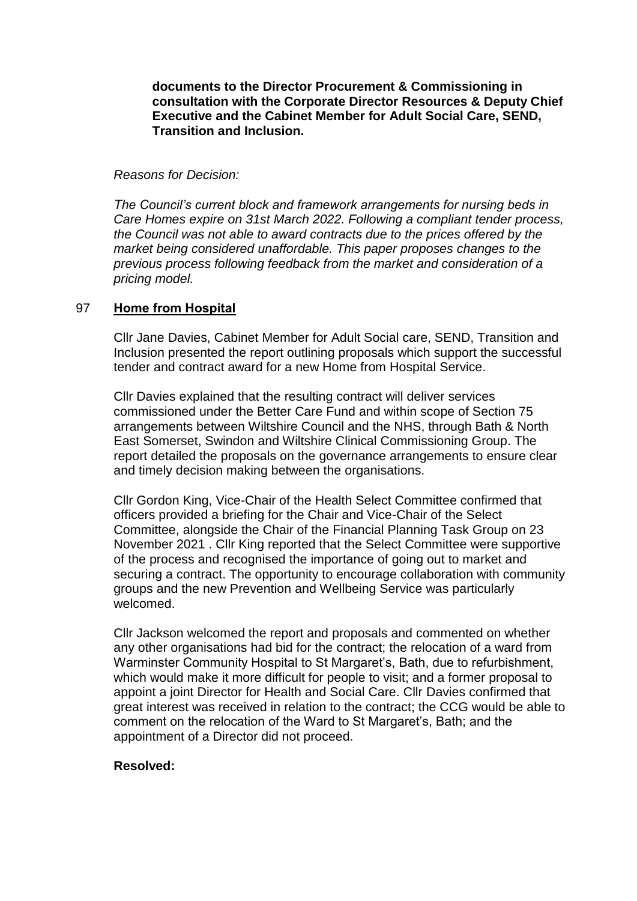**documents to the Director Procurement & Commissioning in consultation with the Corporate Director Resources & Deputy Chief Executive and the Cabinet Member for Adult Social Care, SEND, Transition and Inclusion.**

#### *Reasons for Decision:*

*The Council's current block and framework arrangements for nursing beds in Care Homes expire on 31st March 2022. Following a compliant tender process, the Council was not able to award contracts due to the prices offered by the market being considered unaffordable. This paper proposes changes to the previous process following feedback from the market and consideration of a pricing model.*

# 97 **Home from Hospital**

Cllr Jane Davies, Cabinet Member for Adult Social care, SEND, Transition and Inclusion presented the report outlining proposals which support the successful tender and contract award for a new Home from Hospital Service.

Cllr Davies explained that the resulting contract will deliver services commissioned under the Better Care Fund and within scope of Section 75 arrangements between Wiltshire Council and the NHS, through Bath & North East Somerset, Swindon and Wiltshire Clinical Commissioning Group. The report detailed the proposals on the governance arrangements to ensure clear and timely decision making between the organisations.

Cllr Gordon King, Vice-Chair of the Health Select Committee confirmed that officers provided a briefing for the Chair and Vice-Chair of the Select Committee, alongside the Chair of the Financial Planning Task Group on 23 November 2021 . Cllr King reported that the Select Committee were supportive of the process and recognised the importance of going out to market and securing a contract. The opportunity to encourage collaboration with community groups and the new Prevention and Wellbeing Service was particularly welcomed.

Cllr Jackson welcomed the report and proposals and commented on whether any other organisations had bid for the contract; the relocation of a ward from Warminster Community Hospital to St Margaret's, Bath, due to refurbishment, which would make it more difficult for people to visit; and a former proposal to appoint a joint Director for Health and Social Care. Cllr Davies confirmed that great interest was received in relation to the contract; the CCG would be able to comment on the relocation of the Ward to St Margaret's, Bath; and the appointment of a Director did not proceed.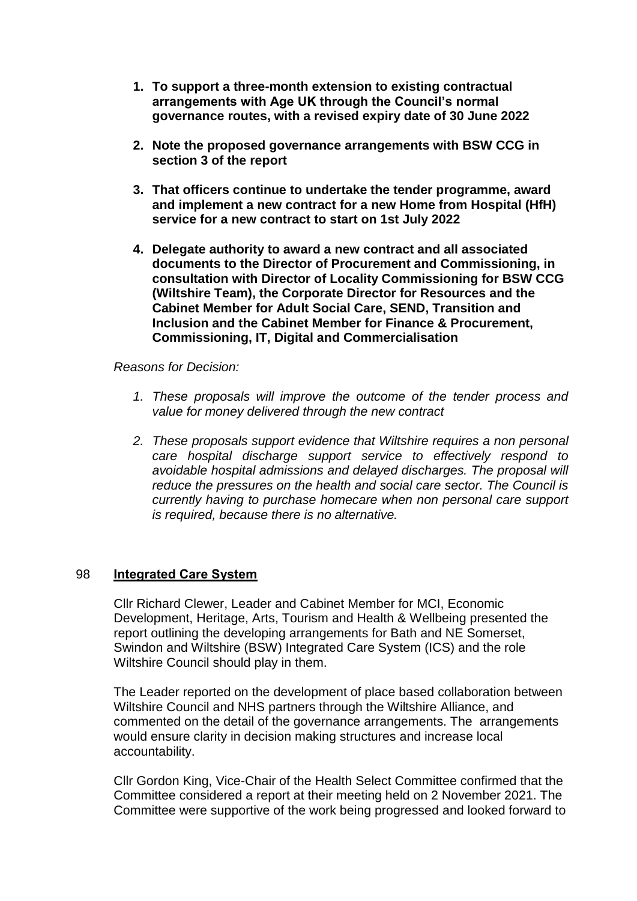- **1. To support a three-month extension to existing contractual arrangements with Age UK through the Council's normal governance routes, with a revised expiry date of 30 June 2022**
- **2. Note the proposed governance arrangements with BSW CCG in section 3 of the report**
- **3. That officers continue to undertake the tender programme, award and implement a new contract for a new Home from Hospital (HfH) service for a new contract to start on 1st July 2022**
- **4. Delegate authority to award a new contract and all associated documents to the Director of Procurement and Commissioning, in consultation with Director of Locality Commissioning for BSW CCG (Wiltshire Team), the Corporate Director for Resources and the Cabinet Member for Adult Social Care, SEND, Transition and Inclusion and the Cabinet Member for Finance & Procurement, Commissioning, IT, Digital and Commercialisation**

# *Reasons for Decision:*

- *1. These proposals will improve the outcome of the tender process and value for money delivered through the new contract*
- *2. These proposals support evidence that Wiltshire requires a non personal care hospital discharge support service to effectively respond to avoidable hospital admissions and delayed discharges. The proposal will reduce the pressures on the health and social care sector. The Council is currently having to purchase homecare when non personal care support is required, because there is no alternative.*

#### 98 **Integrated Care System**

Cllr Richard Clewer, Leader and Cabinet Member for MCI, Economic Development, Heritage, Arts, Tourism and Health & Wellbeing presented the report outlining the developing arrangements for Bath and NE Somerset, Swindon and Wiltshire (BSW) Integrated Care System (ICS) and the role Wiltshire Council should play in them.

The Leader reported on the development of place based collaboration between Wiltshire Council and NHS partners through the Wiltshire Alliance, and commented on the detail of the governance arrangements. The arrangements would ensure clarity in decision making structures and increase local accountability.

Cllr Gordon King, Vice-Chair of the Health Select Committee confirmed that the Committee considered a report at their meeting held on 2 November 2021. The Committee were supportive of the work being progressed and looked forward to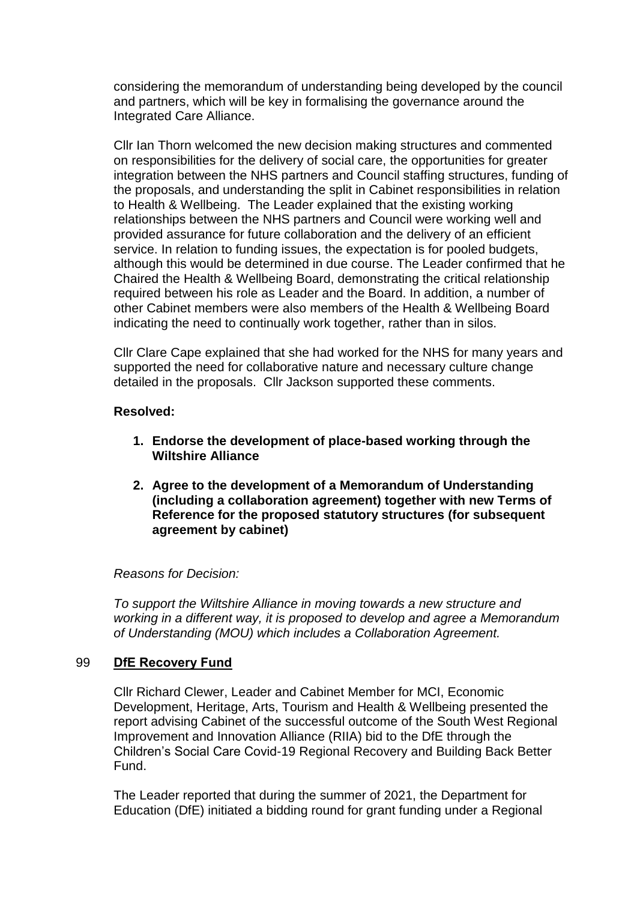considering the memorandum of understanding being developed by the council and partners, which will be key in formalising the governance around the Integrated Care Alliance.

Cllr Ian Thorn welcomed the new decision making structures and commented on responsibilities for the delivery of social care, the opportunities for greater integration between the NHS partners and Council staffing structures, funding of the proposals, and understanding the split in Cabinet responsibilities in relation to Health & Wellbeing. The Leader explained that the existing working relationships between the NHS partners and Council were working well and provided assurance for future collaboration and the delivery of an efficient service. In relation to funding issues, the expectation is for pooled budgets, although this would be determined in due course. The Leader confirmed that he Chaired the Health & Wellbeing Board, demonstrating the critical relationship required between his role as Leader and the Board. In addition, a number of other Cabinet members were also members of the Health & Wellbeing Board indicating the need to continually work together, rather than in silos.

Cllr Clare Cape explained that she had worked for the NHS for many years and supported the need for collaborative nature and necessary culture change detailed in the proposals. Cllr Jackson supported these comments.

# **Resolved:**

- **1. Endorse the development of place-based working through the Wiltshire Alliance**
- **2. Agree to the development of a Memorandum of Understanding (including a collaboration agreement) together with new Terms of Reference for the proposed statutory structures (for subsequent agreement by cabinet)**

#### *Reasons for Decision:*

*To support the Wiltshire Alliance in moving towards a new structure and working in a different way, it is proposed to develop and agree a Memorandum of Understanding (MOU) which includes a Collaboration Agreement.*

#### 99 **DfE Recovery Fund**

Cllr Richard Clewer, Leader and Cabinet Member for MCI, Economic Development, Heritage, Arts, Tourism and Health & Wellbeing presented the report advising Cabinet of the successful outcome of the South West Regional Improvement and Innovation Alliance (RIIA) bid to the DfE through the Children's Social Care Covid-19 Regional Recovery and Building Back Better Fund.

The Leader reported that during the summer of 2021, the Department for Education (DfE) initiated a bidding round for grant funding under a Regional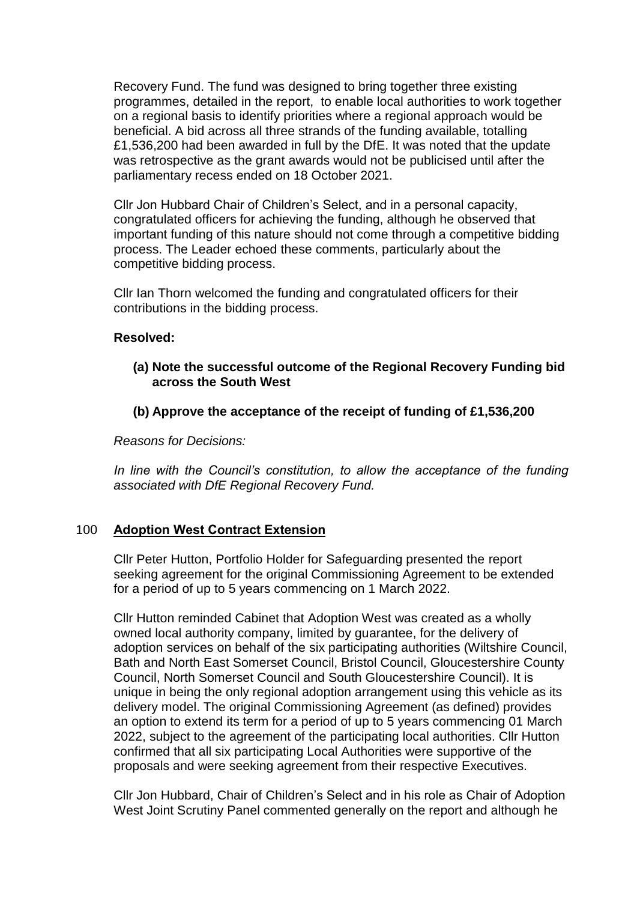Recovery Fund. The fund was designed to bring together three existing programmes, detailed in the report, to enable local authorities to work together on a regional basis to identify priorities where a regional approach would be beneficial. A bid across all three strands of the funding available, totalling £1,536,200 had been awarded in full by the DfE. It was noted that the update was retrospective as the grant awards would not be publicised until after the parliamentary recess ended on 18 October 2021.

Cllr Jon Hubbard Chair of Children's Select, and in a personal capacity, congratulated officers for achieving the funding, although he observed that important funding of this nature should not come through a competitive bidding process. The Leader echoed these comments, particularly about the competitive bidding process.

Cllr Ian Thorn welcomed the funding and congratulated officers for their contributions in the bidding process.

# **Resolved:**

- **(a) Note the successful outcome of the Regional Recovery Funding bid across the South West**
- **(b) Approve the acceptance of the receipt of funding of £1,536,200**

*Reasons for Decisions:*

In line with the Council's constitution, to allow the acceptance of the funding *associated with DfE Regional Recovery Fund.*

# 100 **Adoption West Contract Extension**

Cllr Peter Hutton, Portfolio Holder for Safeguarding presented the report seeking agreement for the original Commissioning Agreement to be extended for a period of up to 5 years commencing on 1 March 2022.

Cllr Hutton reminded Cabinet that Adoption West was created as a wholly owned local authority company, limited by guarantee, for the delivery of adoption services on behalf of the six participating authorities (Wiltshire Council, Bath and North East Somerset Council, Bristol Council, Gloucestershire County Council, North Somerset Council and South Gloucestershire Council). It is unique in being the only regional adoption arrangement using this vehicle as its delivery model. The original Commissioning Agreement (as defined) provides an option to extend its term for a period of up to 5 years commencing 01 March 2022, subject to the agreement of the participating local authorities. Cllr Hutton confirmed that all six participating Local Authorities were supportive of the proposals and were seeking agreement from their respective Executives.

Cllr Jon Hubbard, Chair of Children's Select and in his role as Chair of Adoption West Joint Scrutiny Panel commented generally on the report and although he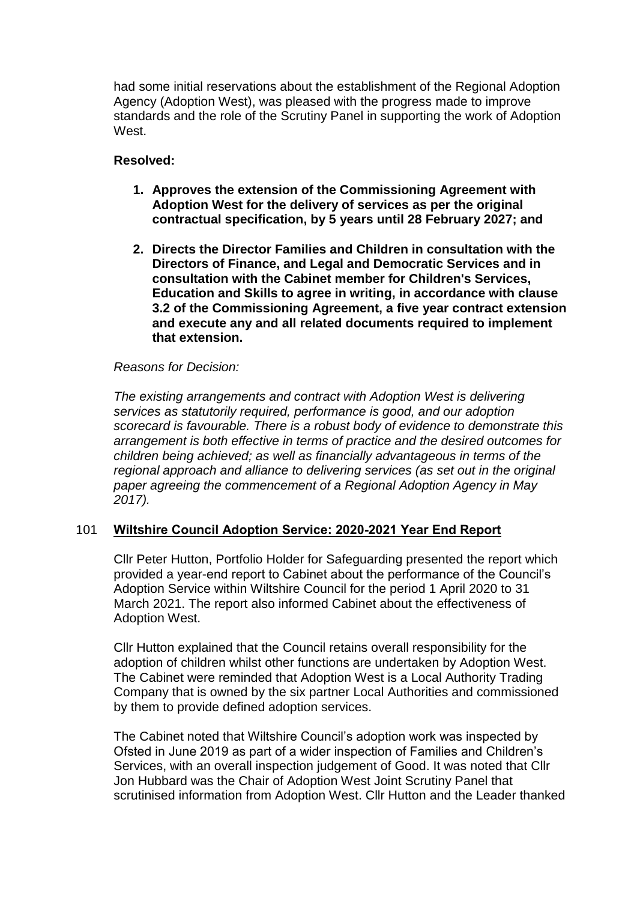had some initial reservations about the establishment of the Regional Adoption Agency (Adoption West), was pleased with the progress made to improve standards and the role of the Scrutiny Panel in supporting the work of Adoption West.

# **Resolved:**

- **1. Approves the extension of the Commissioning Agreement with Adoption West for the delivery of services as per the original contractual specification, by 5 years until 28 February 2027; and**
- **2. Directs the Director Families and Children in consultation with the Directors of Finance, and Legal and Democratic Services and in consultation with the Cabinet member for Children's Services, Education and Skills to agree in writing, in accordance with clause 3.2 of the Commissioning Agreement, a five year contract extension and execute any and all related documents required to implement that extension.**

# *Reasons for Decision:*

*The existing arrangements and contract with Adoption West is delivering services as statutorily required, performance is good, and our adoption scorecard is favourable. There is a robust body of evidence to demonstrate this arrangement is both effective in terms of practice and the desired outcomes for children being achieved; as well as financially advantageous in terms of the regional approach and alliance to delivering services (as set out in the original paper agreeing the commencement of a Regional Adoption Agency in May 2017).*

# 101 **Wiltshire Council Adoption Service: 2020-2021 Year End Report**

Cllr Peter Hutton, Portfolio Holder for Safeguarding presented the report which provided a year-end report to Cabinet about the performance of the Council's Adoption Service within Wiltshire Council for the period 1 April 2020 to 31 March 2021. The report also informed Cabinet about the effectiveness of Adoption West.

Cllr Hutton explained that the Council retains overall responsibility for the adoption of children whilst other functions are undertaken by Adoption West. The Cabinet were reminded that Adoption West is a Local Authority Trading Company that is owned by the six partner Local Authorities and commissioned by them to provide defined adoption services.

The Cabinet noted that Wiltshire Council's adoption work was inspected by Ofsted in June 2019 as part of a wider inspection of Families and Children's Services, with an overall inspection judgement of Good. It was noted that Cllr Jon Hubbard was the Chair of Adoption West Joint Scrutiny Panel that scrutinised information from Adoption West. Cllr Hutton and the Leader thanked